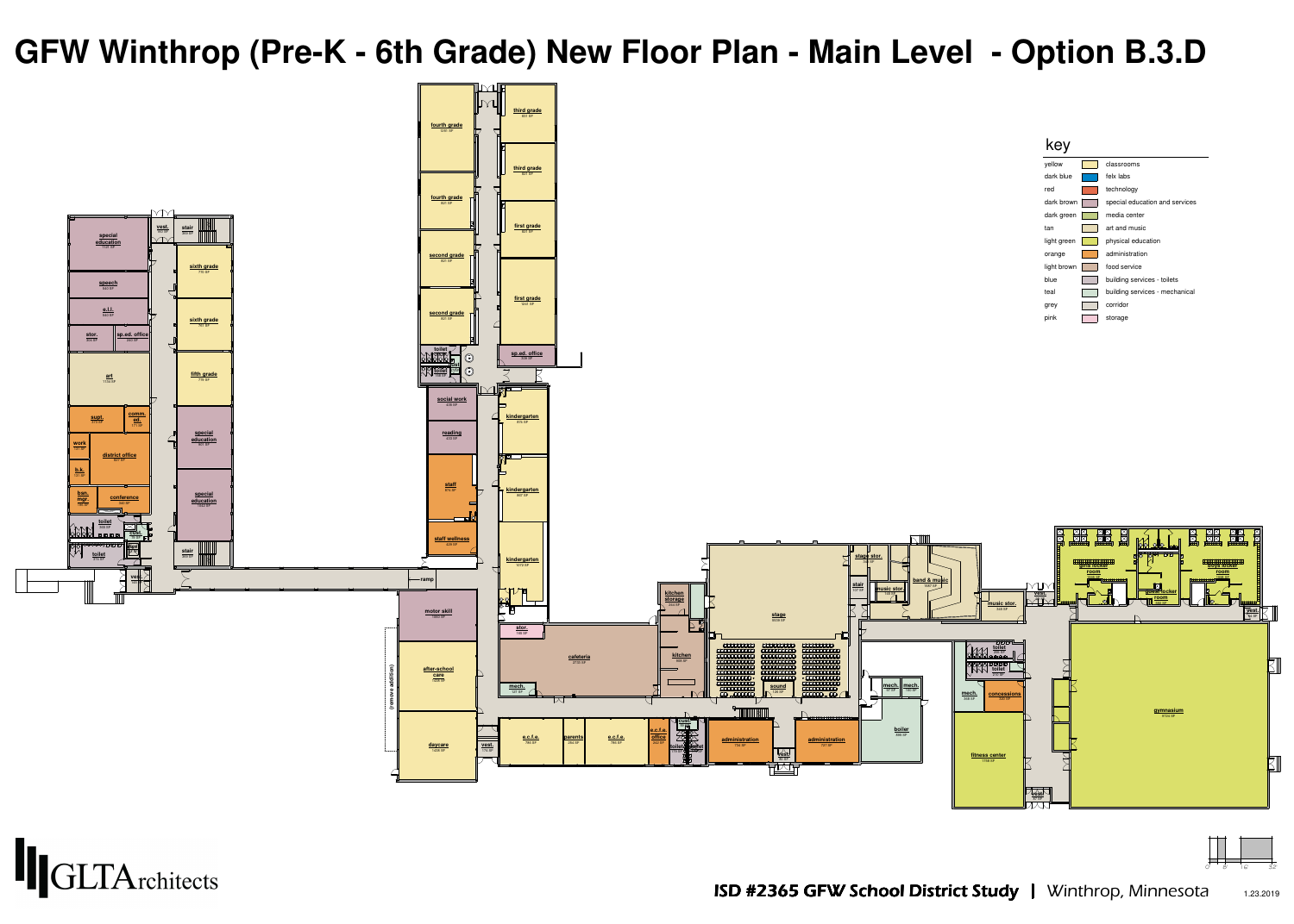





| ellow      | classrooms       |
|------------|------------------|
| lark blue  | felx labs        |
| эd         | technology       |
| ark brown  | special educatio |
| lark green | media center     |
| an         | art and music    |
| ght green  | physical educat  |
| range      | administration   |
| ght brown  | food service     |
| lue        | building service |
| eal        | building service |
| rey        | corridor         |
| ink        | storage          |
|            |                  |



- 
- 

# **GFW Winthrop (Pre-K - 6th Grade) New Floor Plan - Main Level - Option B.3.D**